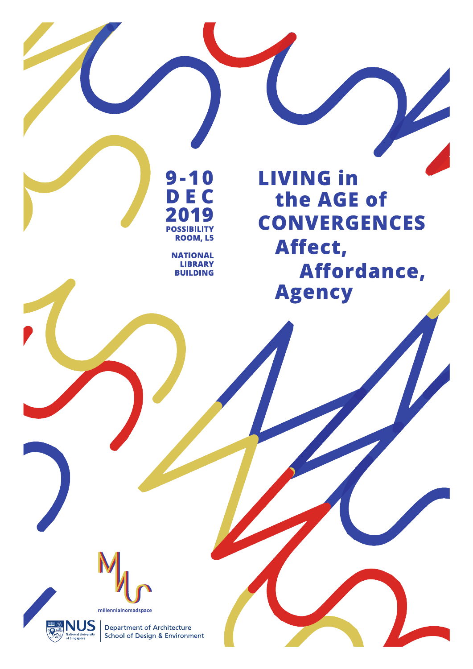**9-10 D E C 2019**<br>POSSIBILITY **ROOM, L5** 

> **NATIONAL LIBRARY BUILDING**

**LIVING in** the AGE of **CONVERGENCES** Affect, Affordance, **Agency** 





Department of Architecture<br>School of Design & Environment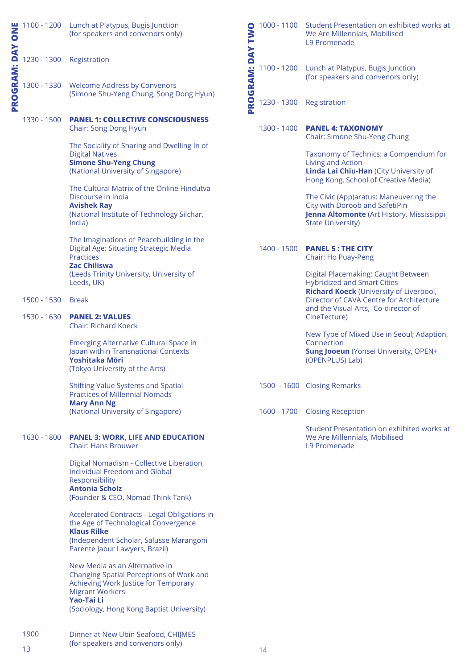| ONE                 |                                  | 1100 - 1200 Lunch at Platypus, Bugis Junction<br>(for speakers and convenors only)                                                                                                                             | TWO                |             | 1000 - 1100 Student Presentation on exhibited works at<br>We Are Millennials, Mobilised<br>L9 Promenade                                           |
|---------------------|----------------------------------|----------------------------------------------------------------------------------------------------------------------------------------------------------------------------------------------------------------|--------------------|-------------|---------------------------------------------------------------------------------------------------------------------------------------------------|
| <b>PROGRAM: DAY</b> |                                  | 1230 - 1300 Registration                                                                                                                                                                                       | <b>ROGRAM: DAY</b> |             | 1100 - 1200 Lunch at Platypus, Bugis Junction<br>(for speakers and convenors only)                                                                |
|                     |                                  | 1300 - 1330 Welcome Address by Convenors<br>(Simone Shu-Yeng Chung, Song Dong Hyun)                                                                                                                            |                    |             | 1230 - 1300 Registration                                                                                                                          |
|                     | 1330 - 1500                      | <b>PANEL 1: COLLECTIVE CONSCIOUSNESS</b><br>Chair: Song Dong Hyun                                                                                                                                              |                    | 1300 - 1400 | <b>PANEL 4: TAXONOMY</b><br>Chair: Simone Shu-Yeng Chung                                                                                          |
|                     |                                  | The Sociality of Sharing and Dwelling In of<br><b>Digital Natives</b><br><b>Simone Shu-Yeng Chung</b><br>(National University of Singapore)                                                                    |                    |             | Taxonomy of Technics: a Compendium for<br>Living and Action<br>Linda Lai Chiu-Han (City University of<br>Hong Kong, School of Creative Media)     |
|                     |                                  | The Cultural Matrix of the Online Hindutva<br>Discourse in India<br><b>Avishek Ray</b><br>(National Institute of Technology Silchar,<br>India)                                                                 |                    |             | The Civic (App)aratus: Maneuvering the<br>City with Doroob and SafetiPin<br>Jenna Altomonte (Art History, Mississippi<br><b>State University)</b> |
|                     |                                  | The Imaginations of Peacebuilding in the<br>Digital Age: Situating Strategic Media<br><b>Practices</b>                                                                                                         |                    | 1400 - 1500 | <b>PANEL 5: THE CITY</b><br>Chair: Ho Puay-Peng                                                                                                   |
|                     |                                  | <b>Zac Chiliswa</b><br>(Leeds Trinity University, University of<br>Leeds, UK)                                                                                                                                  |                    |             | Digital Placemaking: Caught Between<br><b>Hybridized and Smart Cities</b><br>Richard Koeck (University of Liverpool,                              |
|                     | 1500 - 1530 Break<br>1530 - 1630 | <b>PANEL 2: VALUES</b>                                                                                                                                                                                         |                    |             | Director of CAVA Centre for Architecture<br>and the Visual Arts, Co-director of<br>CineTecture)                                                   |
|                     |                                  | <b>Chair: Richard Koeck</b><br><b>Emerging Alternative Cultural Space in</b><br>Japan within Transnational Contexts<br>Yoshitaka Mōri<br>(Tokyo University of the Arts)                                        |                    |             | New Type of Mixed Use in Seoul; Adaption,<br>Connection<br><b>Sung Jooeun</b> (Yonsei University, OPEN+<br>(OPENPLUS) Lab)                        |
|                     |                                  | <b>Shifting Value Systems and Spatial</b><br><b>Practices of Millennial Nomads</b>                                                                                                                             |                    |             | 1500 - 1600 Closing Remarks                                                                                                                       |
|                     |                                  | <b>Mary Ann Ng</b><br>(National University of Singapore)                                                                                                                                                       |                    |             | 1600 - 1700 Closing Reception                                                                                                                     |
|                     | 1630 - 1800                      | <b>PANEL 3: WORK, LIFE AND EDUCATION</b><br><b>Chair: Hans Brouwer</b>                                                                                                                                         |                    |             | Student Presentation on exhibited works at<br>We Are Millennials, Mobilised<br>L9 Promenade                                                       |
|                     |                                  | Digital Nomadism - Collective Liberation,<br><b>Individual Freedom and Global</b><br>Responsibility<br><b>Antonia Scholz</b>                                                                                   |                    |             |                                                                                                                                                   |
|                     |                                  | (Founder & CEO, Nomad Think Tank)<br>Accelerated Contracts - Legal Obligations in                                                                                                                              |                    |             |                                                                                                                                                   |
|                     |                                  | the Age of Technological Convergence<br><b>Klaus Rilke</b><br>(Independent Scholar, Salusse Marangoni<br>Parente Jabur Lawyers, Brazil)                                                                        |                    |             |                                                                                                                                                   |
|                     |                                  | New Media as an Alternative in<br><b>Changing Spatial Perceptions of Work and</b><br>Achieving Work Justice for Temporary<br><b>Migrant Workers</b><br>Yao-Tai Li<br>(Sociology, Hong Kong Baptist University) |                    |             |                                                                                                                                                   |
|                     | 1900                             | Dinner at New Ubin Seafood, CHIJMES                                                                                                                                                                            |                    |             |                                                                                                                                                   |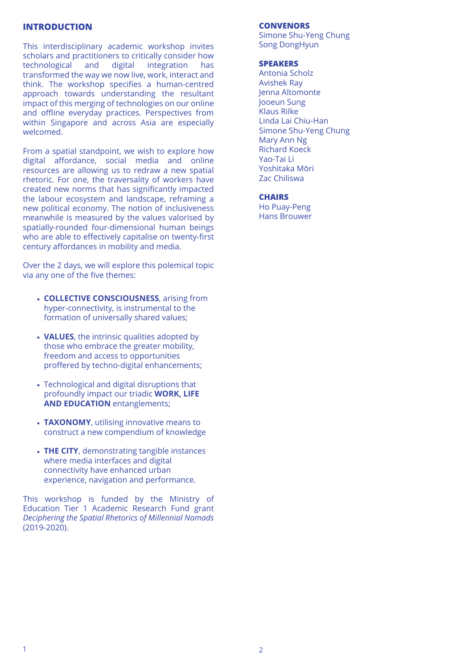### **INTRODUCTION**

This interdisciplinary academic workshop invites scholars and practitioners to critically consider how<br>technological and digital integration has technological and digital integration has transformed the way we now live, work, interact and think. The workshop specifies a human-centred approach towards understanding the resultant impact of this merging of technologies on our online and offline everyday practices. Perspectives from within Singapore and across Asia are especially welcomed.

From a spatial standpoint, we wish to explore how digital affordance, social media and online resources are allowing us to redraw a new spatial rhetoric. For one, the traversality of workers have created new norms that has significantly impacted the labour ecosystem and landscape, reframing a new political economy. The notion of inclusiveness meanwhile is measured by the values valorised by spatially-rounded four-dimensional human beings who are able to effectively capitalise on twenty-first century affordances in mobility and media.

Over the 2 days, we will explore this polemical topic via any one of the five themes:

- **COLLECTIVE CONSCIOUSNESS**, arising from **.** hyper-connectivity, is instrumental to the formation of universally shared values;
- **VALUES**, the intrinsic qualities adopted by **.** those who embrace the greater mobility, freedom and access to opportunities proffered by techno-digital enhancements;
- Technological and digital disruptions that **.** profoundly impact our triadic **WORK, LIFE AND EDUCATION** entanglements;
- **TAXONOMY**, utilising innovative means to **.** construct a new compendium of knowledge
- **THE CITY**, demonstrating tangible instances **.** where media interfaces and digital connectivity have enhanced urban experience, navigation and performance.

This workshop is funded by the Ministry of Education Tier 1 Academic Research Fund grant *Deciphering the Spatial Rhetorics of Millennial Nomads* (2019-2020).

### **CONVENORS**

Simone Shu-Yeng Chung Song DongHyun

### **SPEAKERS**

Antonia Scholz Avishek Ray Jenna Altomonte Jooeun Sung Klaus Rilke Linda Lai Chiu-Han Simone Shu-Yeng Chung Mary Ann Ng Richard Koeck Yao-Tai Li Yoshitaka Mōri Zac Chiliswa

## **CHAIRS**

Ho Puay-Peng Hans Brouwer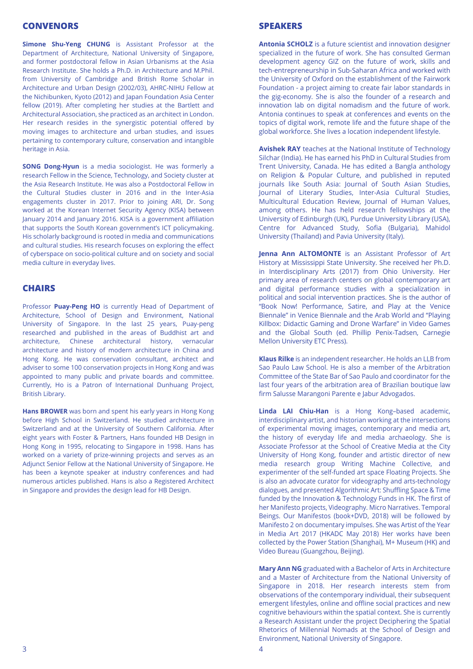# **CONVENORS**

**Simone Shu-Yeng CHUNG** is Assistant Professor at the Department of Architecture, National University of Singapore, and former postdoctoral fellow in Asian Urbanisms at the Asia Research Institute. She holds a Ph.D. in Architecture and M.Phil. from University of Cambridge and British Rome Scholar in Architecture and Urban Design (2002/03), AHRC-NIHU Fellow at the Nichibunken, Kyoto (2012) and Japan Foundation Asia Center fellow (2019). After completing her studies at the Bartlett and Architectural Association, she practiced as an architect in London. Her research resides in the synergistic potential offered by moving images to architecture and urban studies, and issues pertaining to contemporary culture, conservation and intangible heritage in Asia.

**SONG Dong-Hyun** is a media sociologist. He was formerly a research Fellow in the Science, Technology, and Society cluster at the Asia Research Institute. He was also a Postdoctoral Fellow in the Cultural Studies cluster in 2016 and in the Inter-Asia engagements cluster in 2017. Prior to joining ARI, Dr. Song worked at the Korean Internet Security Agency (KISA) between January 2014 and January 2016. KISA is a government affiliation that supports the South Korean government's ICT policymaking. His scholarly background is rooted in media and communications and cultural studies. His research focuses on exploring the effect of cyberspace on socio-political culture and on society and social media culture in everyday lives.

### **CHAIRS**

Professor **Puay-Peng HO** is currently Head of Department of Architecture, School of Design and Environment, National University of Singapore. In the last 25 years, Puay-peng researched and published in the areas of Buddhist art and architecture, Chinese architectural history, vernacular architecture and history of modern architecture in China and Hong Kong. He was conservation consultant, architect and adviser to some 100 conservation projects in Hong Kong and was appointed to many public and private boards and committee. Currently, Ho is a Patron of International Dunhuang Project, British Library.

**Hans BROWER** was born and spent his early years in Hong Kong before High School in Switzerland. He studied architecture in Switzerland and at the University of Southern California. After eight years with Foster & Partners, Hans founded HB Design in Hong Kong in 1995, relocating to Singapore in 1998. Hans has worked on a variety of prize-winning projects and serves as an Adjunct Senior Fellow at the National University of Singapore. He has been a keynote speaker at industry conferences and had numerous articles published. Hans is also a Registered Architect in Singapore and provides the design lead for HB Design.

### **SPEAKERS**

**Antonia SCHOLZ** is a future scientist and innovation designer specialized in the future of work. She has consulted German development agency GIZ on the future of work, skills and tech-entrepreneurship in Sub-Saharan Africa and worked with the University of Oxford on the establishment of the Fairwork Foundation - a project aiming to create fair labor standards in the gig-economy. She is also the founder of a research and innovation lab on digital nomadism and the future of work. Antonia continues to speak at conferences and events on the topics of digital work, remote life and the future shape of the global workforce. She lives a location independent lifestyle.

**Avishek RAY** teaches at the National Institute of Technology Silchar (India). He has earned his PhD in Cultural Studies from Trent University, Canada. He has edited a Bangla anthology on Religion & Popular Culture, and published in reputed journals like South Asia: Journal of South Asian Studies, Journal of Literary Studies, Inter-Asia Cultural Studies, Multicultural Education Review, Journal of Human Values, among others. He has held research fellowships at the University of Edinburgh (UK), Purdue University Library (USA), Centre for Advanced Study, Sofia (Bulgaria), Mahidol University (Thailand) and Pavia University (Italy).

**Jenna Ann ALTOMONTE** is an Assistant Professor of Art History at Mississippi State University. She received her Ph.D. in Interdisciplinary Arts (2017) from Ohio University. Her primary area of research centers on global contemporary art and digital performance studies with a specialization in political and social intervention practices. She is the author of "Book Now! Performance, Satire, and Play at the Venice Biennale" in Venice Biennale and the Arab World and "Playing Killbox: Didactic Gaming and Drone Warfare" in Video Games and the Global South (ed. Phillip Penix-Tadsen, Carnegie Mellon University ETC Press).

**Klaus Rilke** is an independent researcher. He holds an LLB from Sao Paulo Law School. He is also a member of the Arbitration Committee of the State Bar of Sao Paulo and coordinator for the last four years of the arbitration area of Brazilian boutique law firm Salusse Marangoni Parente e Jabur Advogados.

**Linda LAI Chiu-Han** is a Hong Kong–based academic, interdisciplinary artist, and historian working at the intersections of experimental moving images, contemporary and media art, the history of everyday life and media archaeology. She is Associate Professor at the School of Creative Media at the City University of Hong Kong, founder and artistic director of new media research group Writing Machine Collective, and experimenter of the self-funded art space Floating Projects. She is also an advocate curator for videography and arts-technology dialogues, and presented Algorithmic Art: Shuffling Space & Time funded by the Innovation & Technology Funds in HK. The first of her Manifesto projects, Videography. Micro Narratives. Temporal Beings. Our Manifestos (book+DVD, 2018) will be followed by Manifesto 2 on documentary impulses. She was Artist of the Year in Media Art 2017 (HKADC May 2018) Her works have been collected by the Power Station (Shanghai), M+ Museum (HK) and Video Bureau (Guangzhou, Beijing).

**Mary Ann NG** graduated with a Bachelor of Arts in Architecture and a Master of Architecture from the National University of Singapore in 2018. Her research interests stem from observations of the contemporary individual, their subsequent emergent lifestyles, online and offline social practices and new cognitive behaviours within the spatial context. She is currently a Research Assistant under the project Deciphering the Spatial Rhetorics of Millennial Nomads at the School of Design and Environment, National University of Singapore.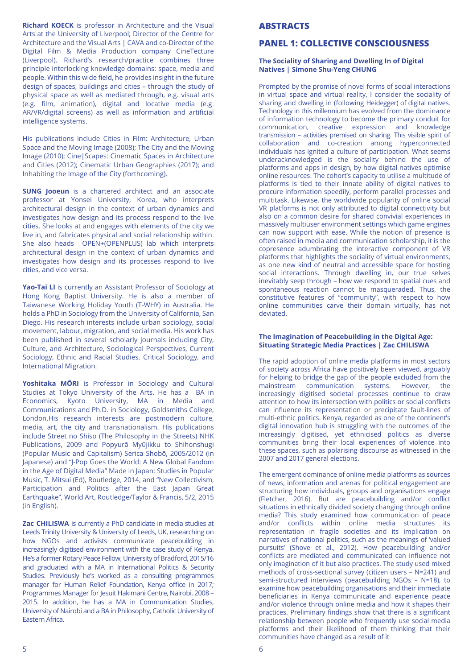**Richard KOECK** is professor in Architecture and the Visual Arts at the University of Liverpool; Director of the Centre for Architecture and the Visual Arts | CAVA and co-Director of the Digital Film & Media Production company CineTecture (Liverpool). Richard's research/practice combines three principle interlocking knowledge domains: space, media and people. Within this wide field, he provides insight in the future design of spaces, buildings and cities – through the study of physical space as well as mediated through, e.g. visual arts (e.g. film, animation), digital and locative media (e.g. AR/VR/digital screens) as well as information and artificial intelligence systems.

His publications include Cities in Film: Architecture, Urban Space and the Moving Image (2008); The City and the Moving Image (2010); Cine|Scapes: Cinematic Spaces in Architecture and Cities (2012); Cinematic Urban Geographies (2017); and Inhabiting the Image of the City (forthcoming).

**SUNG Jooeun** is a chartered architect and an associate professor at Yonsei University, Korea, who interprets architectural design in the context of urban dynamics and investigates how design and its process respond to the live cities. She looks at and engages with elements of the city we live in, and fabricates physical and social relationship within. She also heads OPEN+(OPENPLUS) lab which interprets architectural design in the context of urban dynamics and investigates how design and its processes respond to live cities, and vice versa.

**Yao-Tai LI** is currently an Assistant Professor of Sociology at Hong Kong Baptist University. He is also a member of Taiwanese Working Holiday Youth (T-WHY) in Australia. He holds a PhD in Sociology from the University of California, San Diego. His research interests include urban sociology, social movement, labour, migration, and social media. His work has been published in several scholarly journals including City, Culture, and Architecture, Sociological Perspectives, Current Sociology, Ethnic and Racial Studies, Critical Sociology, and International Migration.

**Yoshitaka MŌRI** is Professor in Sociology and Cultural Studies at Tokyo University of the Arts. He has a BA in Economics, Kyoto University, MA in Media and Communications and Ph.D. in Sociology, Goldsmiths College, London.His research interests are postmodern culture, media, art, the city and transnationalism. His publications include Street no Shiso (The Philosophy in the Streets) NHK Publications, 2009 and Popyurā Myūjikku to Shihonshugi (Popular Music and Capitalism) Serica Shobō, 2005/2012 (in Japanese) and "J-Pop Goes the World: A New Global Fandom in the Age of Digital Media" Made in Japan: Studies in Popular Music, T. Mitsui (Ed), Routledge, 2014, and "New Collectivism, Participation and Politics after the East Japan Great Earthquake", World Art, Routledge/Taylor & Francis, 5/2, 2015 (in English).

**Zac CHILISWA** is currently a PhD candidate in media studies at Leeds Trinity University & University of Leeds, UK, researching on how NGOs and activists communicate peacebuilding in increasingly digitised environment with the case study of Kenya. He's a former Rotary Peace Fellow, University of Bradford, 2015/16 and graduated with a MA in International Politics & Security Studies. Previously he's worked as a consulting programmes manager for Human Relief Foundation, Kenya office in 2017; Programmes Manager for Jesuit Hakimani Centre, Nairobi, 2008 – 2015. In addition, he has a MA in Communication Studies, University of Nairobi and a BA in Philosophy, Catholic University of Eastern Africa.

## **ABSTRACTS**

### **PANEL 1: COLLECTIVE CONSCIOUSNESS**

#### **The Sociality of Sharing and Dwelling In of Digital Natives | Simone Shu-Yeng CHUNG**

Prompted by the promise of novel forms of social interactions in virtual space and virtual reality, I consider the sociality of sharing and dwelling in (following Heidegger) of digital natives. Technology in this millennium has evolved from the dominance of information technology to become the primary conduit for communication, creative expression and knowledge transmission – activities premised on sharing. This visible spirit of collaboration and co-creation among hyperconnected individuals has ignited a culture of participation. What seems underacknowledged is the sociality behind the use of platforms and apps in design, by how digital natives optimise online resources. The cohort's capacity to utilise a multitude of platforms is tied to their innate ability of digital natives to procure information speedily, perform parallel processes and multitask. Likewise, the worldwide popularity of online social VR platforms is not only attributed to digital connectivity but also on a common desire for shared convivial experiences in massively multiuser environment settings which game engines can now support with ease. While the notion of presence is often raised in media and communication scholarship, it is the copresence adumbrating the interactive component of VR platforms that highlights the sociality of virtual environments, as one new kind of neutral and accessible space for hosting social interactions. Through dwelling in, our true selves inevitably seep through – how we respond to spatial cues and spontaneous reaction cannot be masqueraded. Thus, the constitutive features of "community", with respect to how online communities carve their domain virtually, has not deviated.

#### **The Imagination of Peacebuilding in the Digital Age: Situating Strategic Media Practices | Zac CHILISWA**

The rapid adoption of online media platforms in most sectors of society across Africa have positively been viewed, arguably for helping to bridge the gap of the people excluded from the mainstream communication systems. However, the systems. However, the increasingly digitised societal processes continue to draw attention to how its intersection with politics or social conflicts can influence its representation or precipitate fault-lines of multi-ethnic politics. Kenya, regarded as one of the continent's digital innovation hub is struggling with the outcomes of the increasingly digitised, yet ethnicised politics as diverse communities bring their local experiences of violence into these spaces, such as polarising discourse as witnessed in the 2007 and 2017 general elections.

The emergent dominance of online media platforms as sources of news, information and arenas for political engagement are structuring how individuals, groups and organisations engage (Fletcher, 2016). But are peacebuilding and/or conflict situations in ethnically divided society changing through online media? This study examined how communication of peace and/or conflicts within online media structures its representation in fragile societies and its implication on narratives of national politics, such as the meanings of 'valued pursuits' (Shove et al., 2012). How peacebuilding and/or conflicts are mediated and communicated can influence not only imagination of it but also practices. The study used mixed methods of cross-sectional survey (citizen users – N=241) and semi-structured interviews (peacebuilding NGOs – N=18), to examine how peacebuilding organisations and their immediate beneficiaries in Kenya communicate and experience peace and/or violence through online media and how it shapes their practices. Preliminary findings show that there is a significant relationship between people who frequently use social media platforms and their likelihood of them thinking that their communities have changed as a result of it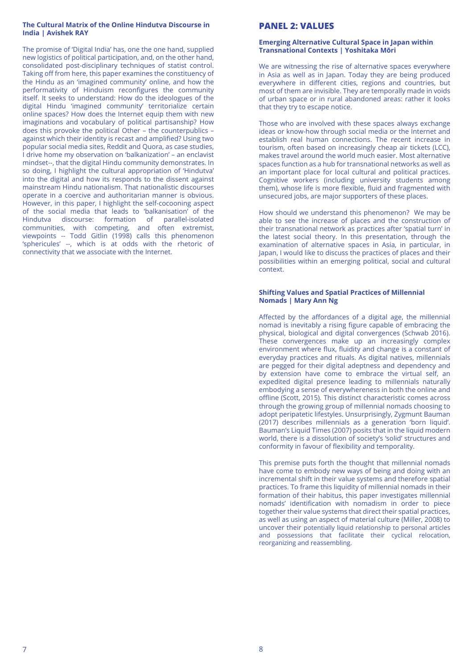#### **The Cultural Matrix of the Online Hindutva Discourse in India | Avishek RAY**

The promise of 'Digital India' has, one the one hand, supplied new logistics of political participation, and, on the other hand, consolidated post-disciplinary techniques of statist control. Taking off from here, this paper examines the constituency of the Hindu as an 'imagined community' online, and how the performativity of Hinduism reconfigures the community itself. It seeks to understand: How do the ideologues of the digital Hindu 'imagined community' territorialize certain online spaces? How does the Internet equip them with new imaginations and vocabulary of political partisanship? How does this provoke the political Other – the counterpublics – against which their identity is recast and amplified? Using two popular social media sites, Reddit and Quora, as case studies, I drive home my observation on 'balkanization' – an enclavist mindset--, that the digital Hindu community demonstrates. In so doing, I highlight the cultural appropriation of 'Hindutva' into the digital and how its responds to the dissent against mainstream Hindu nationalism. That nationalistic discourses operate in a coercive and authoritarian manner is obvious. However, in this paper, I highlight the self-cocooning aspect of the social media that leads to 'balkanisation' of the Hindutva discourse: formation of parallel-isolated communities, with competing, and often extremist, viewpoints -- Todd Gitlin (1998) calls this phenomenon 'sphericules' --, which is at odds with the rhetoric of connectivity that we associate with the Internet.

### **PANEL 2: VALUES**

#### **Emerging Alternative Cultural Space in Japan within Transnational Contexts | Yoshitaka Mōri**

We are witnessing the rise of alternative spaces everywhere in Asia as well as in Japan. Today they are being produced everywhere in different cities, regions and countries, but most of them are invisible. They are temporally made in voids of urban space or in rural abandoned areas: rather it looks that they try to escape notice.

Those who are involved with these spaces always exchange ideas or know-how through social media or the Internet and establish real human connections. The recent increase in tourism, often based on increasingly cheap air tickets (LCC), makes travel around the world much easier. Most alternative spaces function as a hub for transnational networks as well as an important place for local cultural and political practices. Cognitive workers (including university students among them), whose life is more flexible, fluid and fragmented with unsecured jobs, are major supporters of these places.

How should we understand this phenomenon? We may be able to see the increase of places and the construction of their transnational network as practices after 'spatial turn' in the latest social theory. In this presentation, through the examination of alternative spaces in Asia, in particular, in Japan, I would like to discuss the practices of places and their possibilities within an emerging political, social and cultural context.

#### **Shifting Values and Spatial Practices of Millennial Nomads | Mary Ann Ng**

Affected by the affordances of a digital age, the millennial nomad is inevitably a rising figure capable of embracing the physical, biological and digital convergences (Schwab 2016). These convergences make up an increasingly complex environment where flux, fluidity and change is a constant of everyday practices and rituals. As digital natives, millennials are pegged for their digital adeptness and dependency and by extension have come to embrace the virtual self, an expedited digital presence leading to millennials naturally embodying a sense of everywhereness in both the online and offline (Scott, 2015). This distinct characteristic comes across through the growing group of millennial nomads choosing to adopt peripatetic lifestyles. Unsurprisingly, Zygmunt Bauman (2017) describes millennials as a generation 'born liquid'. Bauman's Liquid Times (2007) posits that in the liquid modern world, there is a dissolution of society's 'solid' structures and conformity in favour of flexibility and temporality.

This premise puts forth the thought that millennial nomads have come to embody new ways of being and doing with an incremental shift in their value systems and therefore spatial practices. To frame this liquidity of millennial nomads in their formation of their habitus, this paper investigates millennial nomads' identification with nomadism in order to piece together their value systems that direct their spatial practices, as well as using an aspect of material culture (Miller, 2008) to uncover their potentially liquid relationship to personal articles and possessions that facilitate their cyclical relocation, reorganizing and reassembling.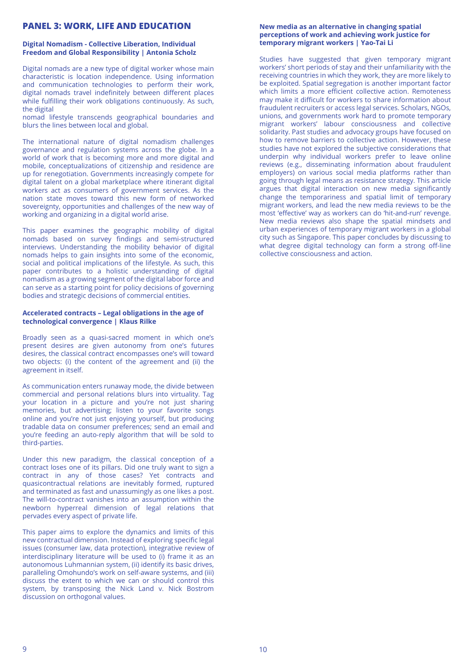## **PANEL 3: WORK, LIFE AND EDUCATION**

#### **Digital Nomadism - Collective Liberation, Individual Freedom and Global Responsibility | Antonia Scholz**

Digital nomads are a new type of digital worker whose main characteristic is location independence. Using information and communication technologies to perform their work, digital nomads travel indefinitely between different places while fulfilling their work obligations continuously. As such, the digital

nomad lifestyle transcends geographical boundaries and blurs the lines between local and global.

The international nature of digital nomadism challenges governance and regulation systems across the globe. In a world of work that is becoming more and more digital and mobile, conceptualizations of citizenship and residence are up for renegotiation. Governments increasingly compete for digital talent on a global marketplace where itinerant digital workers act as consumers of government services. As the nation state moves toward this new form of networked sovereignty, opportunities and challenges of the new way of working and organizing in a digital world arise.

This paper examines the geographic mobility of digital nomads based on survey findings and semi-structured interviews. Understanding the mobility behavior of digital nomads helps to gain insights into some of the economic, social and political implications of the lifestyle. As such, this paper contributes to a holistic understanding of digital nomadism as a growing segment of the digital labor force and can serve as a starting point for policy decisions of governing bodies and strategic decisions of commercial entities.

#### **Accelerated contracts – Legal obligations in the age of technological convergence | Klaus Rilke**

Broadly seen as a quasi-sacred moment in which one's present desires are given autonomy from one's futures desires, the classical contract encompasses one's will toward two objects: (i) the content of the agreement and (ii) the agreement in itself.

As communication enters runaway mode, the divide between commercial and personal relations blurs into virtuality. Tag your location in a picture and you're not just sharing memories, but advertising; listen to your favorite songs online and you're not just enjoying yourself, but producing tradable data on consumer preferences; send an email and you're feeding an auto-reply algorithm that will be sold to third-parties.

Under this new paradigm, the classical conception of a contract loses one of its pillars. Did one truly want to sign a contract in any of those cases? Yet contracts and quasicontractual relations are inevitably formed, ruptured and terminated as fast and unassumingly as one likes a post. The will-to-contract vanishes into an assumption within the newborn hyperreal dimension of legal relations that pervades every aspect of private life.

This paper aims to explore the dynamics and limits of this new contractual dimension. Instead of exploring specific legal issues (consumer law, data protection), integrative review of interdisciplinary literature will be used to (i) frame it as an autonomous Luhmannian system, (ii) identify its basic drives, paralleling Omohundo's work on self-aware systems, and (iii) discuss the extent to which we can or should control this system, by transposing the Nick Land v. Nick Bostrom discussion on orthogonal values.

#### **New media as an alternative in changing spatial perceptions of work and achieving work justice for temporary migrant workers | Yao-Tai Li**

Studies have suggested that given temporary migrant workers' short periods of stay and their unfamiliarity with the receiving countries in which they work, they are more likely to be exploited. Spatial segregation is another important factor which limits a more efficient collective action. Remoteness may make it difficult for workers to share information about fraudulent recruiters or access legal services. Scholars, NGOs, unions, and governments work hard to promote temporary migrant workers' labour consciousness and collective solidarity. Past studies and advocacy groups have focused on how to remove barriers to collective action. However, these studies have not explored the subjective considerations that underpin why individual workers prefer to leave online reviews (e.g., disseminating information about fraudulent employers) on various social media platforms rather than going through legal means as resistance strategy. This article argues that digital interaction on new media significantly change the temporariness and spatial limit of temporary migrant workers, and lead the new media reviews to be the most 'effective' way as workers can do 'hit-and-run' revenge. New media reviews also shape the spatial mindsets and urban experiences of temporary migrant workers in a global city such as Singapore. This paper concludes by discussing to what degree digital technology can form a strong off-line collective consciousness and action.